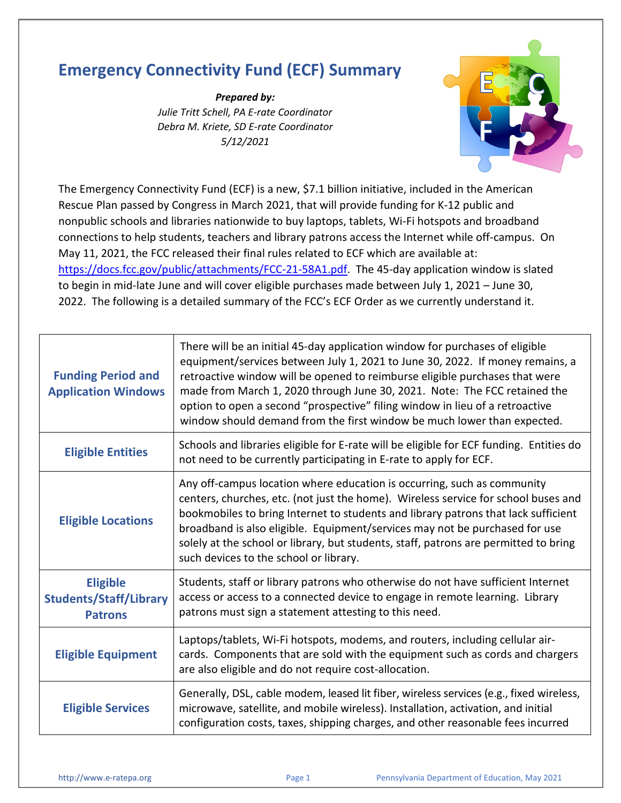## **Emergency Connectivity Fund (ECF) Summary**

*Prepared by: Julie Tritt Schell, PA E-rate Coordinator Debra M. Kriete, SD E-rate Coordinator 5/12/2021*



The Emergency Connectivity Fund (ECF) is a new, \$7.1 billion initiative, included in the American Rescue Plan passed by Congress in March 2021, that will provide funding for K-12 public and nonpublic schools and libraries nationwide to buy laptops, tablets, Wi-Fi hotspots and broadband connections to help students, teachers and library patrons access the Internet while off-campus. On May 11, 2021, the FCC released their final rules related to ECF which are available at: [https://docs.fcc.gov/public/attachments/FCC-21-58A1.pdf.](https://docs.fcc.gov/public/attachments/FCC-21-58A1.pdf) The 45-day application window is slated to begin in mid-late June and will cover eligible purchases made between July 1, 2021 – June 30, 2022. The following is a detailed summary of the FCC's ECF Order as we currently understand it.

| <b>Funding Period and</b><br><b>Application Windows</b>                                                                                                                                                                                                                                      | There will be an initial 45-day application window for purchases of eligible<br>equipment/services between July 1, 2021 to June 30, 2022. If money remains, a<br>retroactive window will be opened to reimburse eligible purchases that were<br>made from March 1, 2020 through June 30, 2021. Note: The FCC retained the<br>option to open a second "prospective" filing window in lieu of a retroactive<br>window should demand from the first window be much lower than expected. |  |
|----------------------------------------------------------------------------------------------------------------------------------------------------------------------------------------------------------------------------------------------------------------------------------------------|--------------------------------------------------------------------------------------------------------------------------------------------------------------------------------------------------------------------------------------------------------------------------------------------------------------------------------------------------------------------------------------------------------------------------------------------------------------------------------------|--|
| <b>Eligible Entities</b>                                                                                                                                                                                                                                                                     | Schools and libraries eligible for E-rate will be eligible for ECF funding. Entities do<br>not need to be currently participating in E-rate to apply for ECF.                                                                                                                                                                                                                                                                                                                        |  |
| <b>Eligible Locations</b>                                                                                                                                                                                                                                                                    | Any off-campus location where education is occurring, such as community<br>centers, churches, etc. (not just the home). Wireless service for school buses and<br>bookmobiles to bring Internet to students and library patrons that lack sufficient<br>broadband is also eligible. Equipment/services may not be purchased for use<br>solely at the school or library, but students, staff, patrons are permitted to bring<br>such devices to the school or library.                 |  |
| <b>Eligible</b><br><b>Students/Staff/Library</b><br><b>Patrons</b>                                                                                                                                                                                                                           | Students, staff or library patrons who otherwise do not have sufficient Internet<br>access or access to a connected device to engage in remote learning. Library<br>patrons must sign a statement attesting to this need.                                                                                                                                                                                                                                                            |  |
| <b>Eligible Equipment</b>                                                                                                                                                                                                                                                                    | Laptops/tablets, Wi-Fi hotspots, modems, and routers, including cellular air-<br>cards. Components that are sold with the equipment such as cords and chargers<br>are also eligible and do not require cost-allocation.                                                                                                                                                                                                                                                              |  |
| Generally, DSL, cable modem, leased lit fiber, wireless services (e.g., fixed wireless,<br>microwave, satellite, and mobile wireless). Installation, activation, and initial<br><b>Eligible Services</b><br>configuration costs, taxes, shipping charges, and other reasonable fees incurred |                                                                                                                                                                                                                                                                                                                                                                                                                                                                                      |  |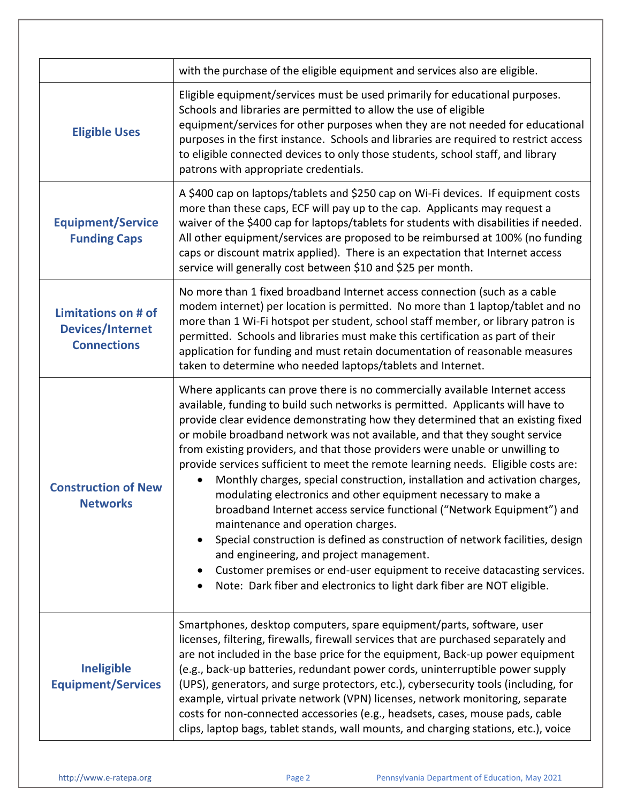|                                                                             | with the purchase of the eligible equipment and services also are eligible.                                                                                                                                                                                                                                                                                                                                                                                                                                                                                                                                                                                                                                                                                                                                                                                                                                                                                                                                                                                                                  |  |  |
|-----------------------------------------------------------------------------|----------------------------------------------------------------------------------------------------------------------------------------------------------------------------------------------------------------------------------------------------------------------------------------------------------------------------------------------------------------------------------------------------------------------------------------------------------------------------------------------------------------------------------------------------------------------------------------------------------------------------------------------------------------------------------------------------------------------------------------------------------------------------------------------------------------------------------------------------------------------------------------------------------------------------------------------------------------------------------------------------------------------------------------------------------------------------------------------|--|--|
| <b>Eligible Uses</b>                                                        | Eligible equipment/services must be used primarily for educational purposes.<br>Schools and libraries are permitted to allow the use of eligible<br>equipment/services for other purposes when they are not needed for educational<br>purposes in the first instance. Schools and libraries are required to restrict access<br>to eligible connected devices to only those students, school staff, and library<br>patrons with appropriate credentials.                                                                                                                                                                                                                                                                                                                                                                                                                                                                                                                                                                                                                                      |  |  |
| <b>Equipment/Service</b><br><b>Funding Caps</b>                             | A \$400 cap on laptops/tablets and \$250 cap on Wi-Fi devices. If equipment costs<br>more than these caps, ECF will pay up to the cap. Applicants may request a<br>waiver of the \$400 cap for laptops/tablets for students with disabilities if needed.<br>All other equipment/services are proposed to be reimbursed at 100% (no funding<br>caps or discount matrix applied). There is an expectation that Internet access<br>service will generally cost between \$10 and \$25 per month.                                                                                                                                                                                                                                                                                                                                                                                                                                                                                                                                                                                                 |  |  |
| <b>Limitations on # of</b><br><b>Devices/Internet</b><br><b>Connections</b> | No more than 1 fixed broadband Internet access connection (such as a cable<br>modem internet) per location is permitted. No more than 1 laptop/tablet and no<br>more than 1 Wi-Fi hotspot per student, school staff member, or library patron is<br>permitted. Schools and libraries must make this certification as part of their<br>application for funding and must retain documentation of reasonable measures<br>taken to determine who needed laptops/tablets and Internet.                                                                                                                                                                                                                                                                                                                                                                                                                                                                                                                                                                                                            |  |  |
| <b>Construction of New</b><br><b>Networks</b>                               | Where applicants can prove there is no commercially available Internet access<br>available, funding to build such networks is permitted. Applicants will have to<br>provide clear evidence demonstrating how they determined that an existing fixed<br>or mobile broadband network was not available, and that they sought service<br>from existing providers, and that those providers were unable or unwilling to<br>provide services sufficient to meet the remote learning needs. Eligible costs are:<br>Monthly charges, special construction, installation and activation charges,<br>modulating electronics and other equipment necessary to make a<br>broadband Internet access service functional ("Network Equipment") and<br>maintenance and operation charges.<br>Special construction is defined as construction of network facilities, design<br>$\bullet$<br>and engineering, and project management.<br>Customer premises or end-user equipment to receive datacasting services.<br>$\bullet$<br>Note: Dark fiber and electronics to light dark fiber are NOT eligible.<br>٠ |  |  |
| <b>Ineligible</b><br><b>Equipment/Services</b>                              | Smartphones, desktop computers, spare equipment/parts, software, user<br>licenses, filtering, firewalls, firewall services that are purchased separately and<br>are not included in the base price for the equipment, Back-up power equipment<br>(e.g., back-up batteries, redundant power cords, uninterruptible power supply<br>(UPS), generators, and surge protectors, etc.), cybersecurity tools (including, for<br>example, virtual private network (VPN) licenses, network monitoring, separate<br>costs for non-connected accessories (e.g., headsets, cases, mouse pads, cable<br>clips, laptop bags, tablet stands, wall mounts, and charging stations, etc.), voice                                                                                                                                                                                                                                                                                                                                                                                                               |  |  |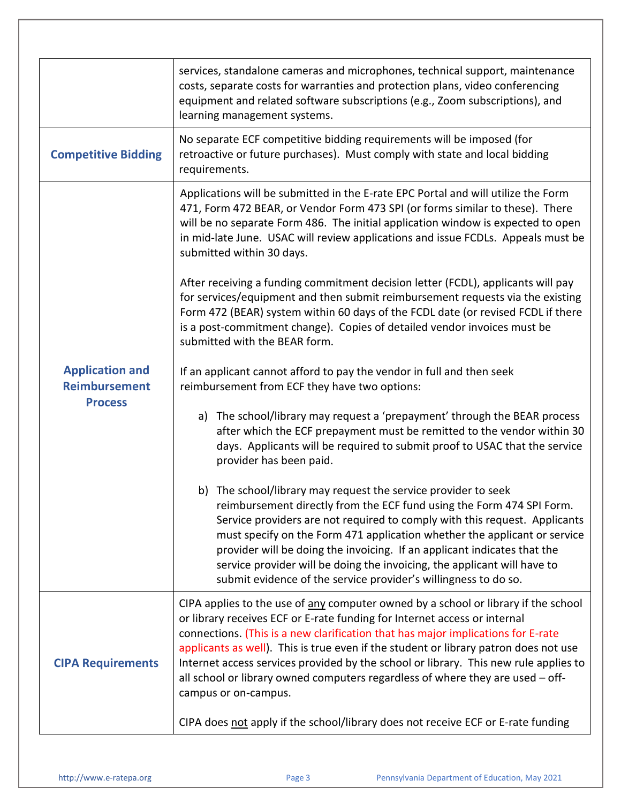|                                                                  | services, standalone cameras and microphones, technical support, maintenance<br>costs, separate costs for warranties and protection plans, video conferencing<br>equipment and related software subscriptions (e.g., Zoom subscriptions), and<br>learning management systems.                                                                                                                                                                                                                                                                 |  |  |  |  |
|------------------------------------------------------------------|-----------------------------------------------------------------------------------------------------------------------------------------------------------------------------------------------------------------------------------------------------------------------------------------------------------------------------------------------------------------------------------------------------------------------------------------------------------------------------------------------------------------------------------------------|--|--|--|--|
| <b>Competitive Bidding</b>                                       | No separate ECF competitive bidding requirements will be imposed (for<br>retroactive or future purchases). Must comply with state and local bidding<br>requirements.                                                                                                                                                                                                                                                                                                                                                                          |  |  |  |  |
| <b>Application and</b><br><b>Reimbursement</b><br><b>Process</b> | Applications will be submitted in the E-rate EPC Portal and will utilize the Form<br>471, Form 472 BEAR, or Vendor Form 473 SPI (or forms similar to these). There<br>will be no separate Form 486. The initial application window is expected to open<br>in mid-late June. USAC will review applications and issue FCDLs. Appeals must be<br>submitted within 30 days.                                                                                                                                                                       |  |  |  |  |
|                                                                  | After receiving a funding commitment decision letter (FCDL), applicants will pay<br>for services/equipment and then submit reimbursement requests via the existing<br>Form 472 (BEAR) system within 60 days of the FCDL date (or revised FCDL if there<br>is a post-commitment change). Copies of detailed vendor invoices must be<br>submitted with the BEAR form.                                                                                                                                                                           |  |  |  |  |
|                                                                  | If an applicant cannot afford to pay the vendor in full and then seek<br>reimbursement from ECF they have two options:                                                                                                                                                                                                                                                                                                                                                                                                                        |  |  |  |  |
|                                                                  | a) The school/library may request a 'prepayment' through the BEAR process<br>after which the ECF prepayment must be remitted to the vendor within 30<br>days. Applicants will be required to submit proof to USAC that the service<br>provider has been paid.                                                                                                                                                                                                                                                                                 |  |  |  |  |
|                                                                  | b) The school/library may request the service provider to seek<br>reimbursement directly from the ECF fund using the Form 474 SPI Form.<br>Service providers are not required to comply with this request. Applicants<br>must specify on the Form 471 application whether the applicant or service<br>provider will be doing the invoicing. If an applicant indicates that the<br>service provider will be doing the invoicing, the applicant will have to<br>submit evidence of the service provider's willingness to do so.                 |  |  |  |  |
| <b>CIPA Requirements</b>                                         | CIPA applies to the use of any computer owned by a school or library if the school<br>or library receives ECF or E-rate funding for Internet access or internal<br>connections. (This is a new clarification that has major implications for E-rate<br>applicants as well). This is true even if the student or library patron does not use<br>Internet access services provided by the school or library. This new rule applies to<br>all school or library owned computers regardless of where they are used - off-<br>campus or on-campus. |  |  |  |  |
|                                                                  | CIPA does not apply if the school/library does not receive ECF or E-rate funding                                                                                                                                                                                                                                                                                                                                                                                                                                                              |  |  |  |  |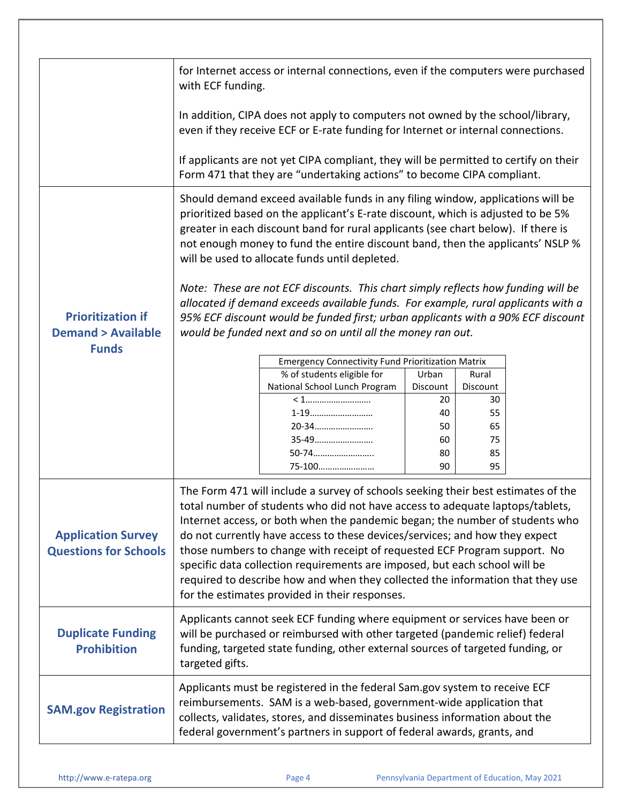|                                                                          | for Internet access or internal connections, even if the computers were purchased<br>with ECF funding.                                                                                                                                                                                                                                                                                                                                                                                                                                                                                                                           |                                                          |                |                |  |  |
|--------------------------------------------------------------------------|----------------------------------------------------------------------------------------------------------------------------------------------------------------------------------------------------------------------------------------------------------------------------------------------------------------------------------------------------------------------------------------------------------------------------------------------------------------------------------------------------------------------------------------------------------------------------------------------------------------------------------|----------------------------------------------------------|----------------|----------------|--|--|
|                                                                          | In addition, CIPA does not apply to computers not owned by the school/library,<br>even if they receive ECF or E-rate funding for Internet or internal connections.                                                                                                                                                                                                                                                                                                                                                                                                                                                               |                                                          |                |                |  |  |
|                                                                          | If applicants are not yet CIPA compliant, they will be permitted to certify on their<br>Form 471 that they are "undertaking actions" to become CIPA compliant.                                                                                                                                                                                                                                                                                                                                                                                                                                                                   |                                                          |                |                |  |  |
| <b>Prioritization if</b><br><b>Demand &gt; Available</b><br><b>Funds</b> | Should demand exceed available funds in any filing window, applications will be<br>prioritized based on the applicant's E-rate discount, which is adjusted to be 5%<br>greater in each discount band for rural applicants (see chart below). If there is<br>not enough money to fund the entire discount band, then the applicants' NSLP %<br>will be used to allocate funds until depleted.                                                                                                                                                                                                                                     |                                                          |                |                |  |  |
|                                                                          | Note: These are not ECF discounts. This chart simply reflects how funding will be<br>allocated if demand exceeds available funds. For example, rural applicants with a<br>95% ECF discount would be funded first; urban applicants with a 90% ECF discount<br>would be funded next and so on until all the money ran out.                                                                                                                                                                                                                                                                                                        |                                                          |                |                |  |  |
|                                                                          |                                                                                                                                                                                                                                                                                                                                                                                                                                                                                                                                                                                                                                  | <b>Emergency Connectivity Fund Prioritization Matrix</b> |                |                |  |  |
|                                                                          |                                                                                                                                                                                                                                                                                                                                                                                                                                                                                                                                                                                                                                  | % of students eligible for                               | Urban          | Rural          |  |  |
|                                                                          |                                                                                                                                                                                                                                                                                                                                                                                                                                                                                                                                                                                                                                  | National School Lunch Program                            | Discount<br>20 | Discount<br>30 |  |  |
|                                                                          |                                                                                                                                                                                                                                                                                                                                                                                                                                                                                                                                                                                                                                  |                                                          | 40             | 55             |  |  |
|                                                                          |                                                                                                                                                                                                                                                                                                                                                                                                                                                                                                                                                                                                                                  | 20-34                                                    | 50             | 65             |  |  |
|                                                                          |                                                                                                                                                                                                                                                                                                                                                                                                                                                                                                                                                                                                                                  | 35-49                                                    | 60             | 75             |  |  |
|                                                                          |                                                                                                                                                                                                                                                                                                                                                                                                                                                                                                                                                                                                                                  | 50-74                                                    | 80             | 85             |  |  |
|                                                                          |                                                                                                                                                                                                                                                                                                                                                                                                                                                                                                                                                                                                                                  | 75-100                                                   | 90             | 95             |  |  |
| <b>Application Survey</b><br><b>Questions for Schools</b>                | The Form 471 will include a survey of schools seeking their best estimates of the<br>total number of students who did not have access to adequate laptops/tablets,<br>Internet access, or both when the pandemic began; the number of students who<br>do not currently have access to these devices/services; and how they expect<br>those numbers to change with receipt of requested ECF Program support. No<br>specific data collection requirements are imposed, but each school will be<br>required to describe how and when they collected the information that they use<br>for the estimates provided in their responses. |                                                          |                |                |  |  |
| <b>Duplicate Funding</b><br><b>Prohibition</b>                           | Applicants cannot seek ECF funding where equipment or services have been or<br>will be purchased or reimbursed with other targeted (pandemic relief) federal<br>funding, targeted state funding, other external sources of targeted funding, or<br>targeted gifts.                                                                                                                                                                                                                                                                                                                                                               |                                                          |                |                |  |  |
| <b>SAM.gov Registration</b>                                              | Applicants must be registered in the federal Sam.gov system to receive ECF<br>reimbursements. SAM is a web-based, government-wide application that<br>collects, validates, stores, and disseminates business information about the<br>federal government's partners in support of federal awards, grants, and                                                                                                                                                                                                                                                                                                                    |                                                          |                |                |  |  |